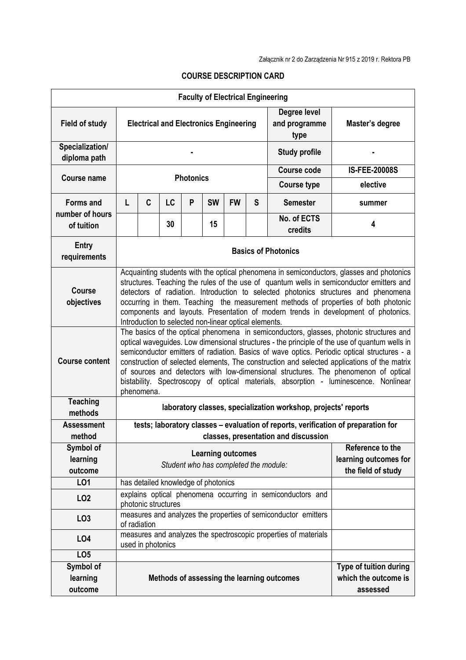|                                  |                                                                                                                                                                                                                                                                                                                                                                                                                                                                                                                                                                                     |                   |    |   |           |           |   | <b>Faculty of Electrical Engineering</b>                        |                                                                   |  |
|----------------------------------|-------------------------------------------------------------------------------------------------------------------------------------------------------------------------------------------------------------------------------------------------------------------------------------------------------------------------------------------------------------------------------------------------------------------------------------------------------------------------------------------------------------------------------------------------------------------------------------|-------------------|----|---|-----------|-----------|---|-----------------------------------------------------------------|-------------------------------------------------------------------|--|
| <b>Field of study</b>            | <b>Electrical and Electronics Engineering</b>                                                                                                                                                                                                                                                                                                                                                                                                                                                                                                                                       |                   |    |   |           |           |   | Degree level<br>and programme<br>type                           | Master's degree                                                   |  |
| Specialization/<br>diploma path  |                                                                                                                                                                                                                                                                                                                                                                                                                                                                                                                                                                                     |                   |    |   |           |           |   | <b>Study profile</b>                                            |                                                                   |  |
| <b>Course name</b>               | <b>Photonics</b>                                                                                                                                                                                                                                                                                                                                                                                                                                                                                                                                                                    |                   |    |   |           |           |   | <b>Course code</b>                                              | <b>IS-FEE-20008S</b>                                              |  |
|                                  |                                                                                                                                                                                                                                                                                                                                                                                                                                                                                                                                                                                     |                   |    |   |           |           |   | <b>Course type</b>                                              | elective                                                          |  |
| <b>Forms and</b>                 | L                                                                                                                                                                                                                                                                                                                                                                                                                                                                                                                                                                                   | C                 | LC | P | <b>SW</b> | <b>FW</b> | S | <b>Semester</b>                                                 | summer                                                            |  |
| number of hours<br>of tuition    |                                                                                                                                                                                                                                                                                                                                                                                                                                                                                                                                                                                     |                   | 30 |   | 15        |           |   | No. of ECTS<br>credits                                          | 4                                                                 |  |
| <b>Entry</b><br>requirements     | <b>Basics of Photonics</b>                                                                                                                                                                                                                                                                                                                                                                                                                                                                                                                                                          |                   |    |   |           |           |   |                                                                 |                                                                   |  |
| <b>Course</b><br>objectives      | Acquainting students with the optical phenomena in semiconductors, glasses and photonics<br>structures. Teaching the rules of the use of quantum wells in semiconductor emitters and<br>detectors of radiation. Introduction to selected photonics structures and phenomena<br>occurring in them. Teaching the measurement methods of properties of both photonic<br>components and layouts. Presentation of modern trends in development of photonics.<br>Introduction to selected non-linear optical elements.                                                                    |                   |    |   |           |           |   |                                                                 |                                                                   |  |
| <b>Course content</b>            | The basics of the optical phenomena in semiconductors, glasses, photonic structures and<br>optical waveguides. Low dimensional structures - the principle of the use of quantum wells in<br>semiconductor emitters of radiation. Basics of wave optics. Periodic optical structures - a<br>construction of selected elements, The construction and selected applications of the matrix<br>of sources and detectors with low-dimensional structures. The phenomenon of optical<br>bistability. Spectroscopy of optical materials, absorption - luminescence. Nonlinear<br>phenomena. |                   |    |   |           |           |   |                                                                 |                                                                   |  |
| <b>Teaching</b><br>methods       | laboratory classes, specialization workshop, projects' reports                                                                                                                                                                                                                                                                                                                                                                                                                                                                                                                      |                   |    |   |           |           |   |                                                                 |                                                                   |  |
| <b>Assessment</b>                | tests; laboratory classes - evaluation of reports, verification of preparation for                                                                                                                                                                                                                                                                                                                                                                                                                                                                                                  |                   |    |   |           |           |   |                                                                 |                                                                   |  |
| method<br>Symbol of              |                                                                                                                                                                                                                                                                                                                                                                                                                                                                                                                                                                                     |                   |    |   |           |           |   | classes, presentation and discussion                            | Reference to the                                                  |  |
| learning                         | <b>Learning outcomes</b>                                                                                                                                                                                                                                                                                                                                                                                                                                                                                                                                                            |                   |    |   |           |           |   | learning outcomes for                                           |                                                                   |  |
| outcome                          | Student who has completed the module:                                                                                                                                                                                                                                                                                                                                                                                                                                                                                                                                               |                   |    |   |           |           |   | the field of study                                              |                                                                   |  |
| LO1                              | has detailed knowledge of photonics                                                                                                                                                                                                                                                                                                                                                                                                                                                                                                                                                 |                   |    |   |           |           |   |                                                                 |                                                                   |  |
| LO <sub>2</sub>                  | explains optical phenomena occurring in semiconductors and<br>photonic structures                                                                                                                                                                                                                                                                                                                                                                                                                                                                                                   |                   |    |   |           |           |   |                                                                 |                                                                   |  |
| LO <sub>3</sub>                  | measures and analyzes the properties of semiconductor emitters<br>of radiation                                                                                                                                                                                                                                                                                                                                                                                                                                                                                                      |                   |    |   |           |           |   |                                                                 |                                                                   |  |
| LO <sub>4</sub>                  |                                                                                                                                                                                                                                                                                                                                                                                                                                                                                                                                                                                     | used in photonics |    |   |           |           |   | measures and analyzes the spectroscopic properties of materials |                                                                   |  |
| LO <sub>5</sub>                  |                                                                                                                                                                                                                                                                                                                                                                                                                                                                                                                                                                                     |                   |    |   |           |           |   |                                                                 |                                                                   |  |
| Symbol of<br>learning<br>outcome |                                                                                                                                                                                                                                                                                                                                                                                                                                                                                                                                                                                     |                   |    |   |           |           |   | Methods of assessing the learning outcomes                      | <b>Type of tuition during</b><br>which the outcome is<br>assessed |  |

## **COURSE DESCRIPTION CARD**